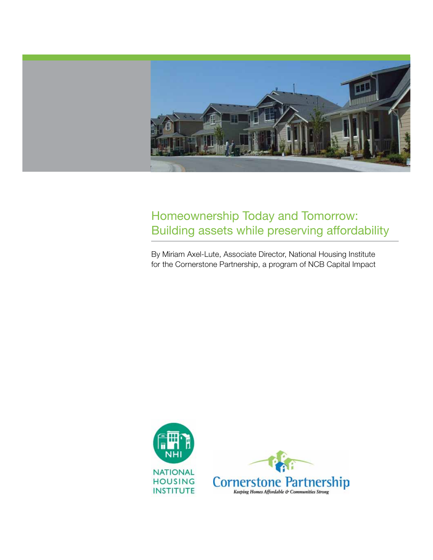

# Homeownership Today and Tomorrow: Building assets while preserving affordability

By Miriam Axel-Lute, Associate Director, National Housing Institute for the Cornerstone Partnership, a program of NCB Capital Impact

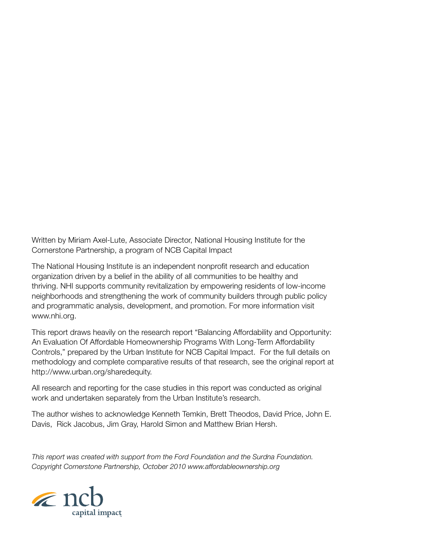Written by Miriam Axel-Lute, Associate Director, National Housing Institute for the Cornerstone Partnership, a program of NCB Capital Impact

The National Housing Institute is an independent nonprofit research and education organization driven by a belief in the ability of all communities to be healthy and thriving. NHI supports community revitalization by empowering residents of low-income neighborhoods and strengthening the work of community builders through public policy and programmatic analysis, development, and promotion. For more information visit [www.nhi.org](http://www.nhi.org).

This report draws heavily on the research report "Balancing Affordability and Opportunity: An Evaluation Of Affordable Homeownership Programs With Long-Term Affordability Controls," prepared by the Urban Institute for NCB Capital Impact. For the full details on methodology and complete comparative results of that research, see the original report at <http://www.urban.org/sharedequity>.

All research and reporting for the case studies in this report was conducted as original work and undertaken separately from the Urban Institute's research.

The author wishes to acknowledge Kenneth Temkin, Brett Theodos, David Price, John E. Davis, Rick Jacobus, Jim Gray, Harold Simon and Matthew Brian Hersh.

*This report was created with support from the Ford Foundation and the Surdna Foundation. Copyright Cornerstone Partnership, October 2010 [www.affordableownership.org](http://www.affordableownership.org)*

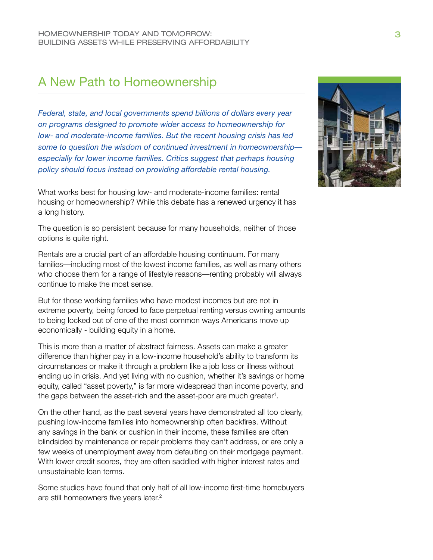# A New Path to Homeownership

*Federal, state, and local governments spend billions of dollars every year on programs designed to promote wider access to homeownership for low- and moderate-income families. But the recent housing crisis has led some to question the wisdom of continued investment in homeownership especially for lower income families. Critics suggest that perhaps housing policy should focus instead on providing affordable rental housing.*

What works best for housing low- and moderate-income families: rental housing or homeownership? While this debate has a renewed urgency it has a long history.

The question is so persistent because for many households, neither of those options is quite right.

Rentals are a crucial part of an affordable housing continuum. For many families—including most of the lowest income families, as well as many others who choose them for a range of lifestyle reasons—renting probably will always continue to make the most sense.

But for those working families who have modest incomes but are not in extreme poverty, being forced to face perpetual renting versus owning amounts to being locked out of one of the most common ways Americans move up economically - building equity in a home.

This is more than a matter of abstract fairness. Assets can make a greater difference than higher pay in a low-income household's ability to transform its circumstances or make it through a problem like a job loss or illness without ending up in crisis. And yet living with no cushion, whether it's savings or home equity, called "asset poverty," is far more widespread than income poverty, and the gaps between the asset-rich and the asset-poor are much greater<sup>1</sup>.

On the other hand, as the past several years have demonstrated all too clearly, pushing low-income families into homeownership often backfires. Without any savings in the bank or cushion in their income, these families are often blindsided by maintenance or repair problems they can't address, or are only a few weeks of unemployment away from defaulting on their mortgage payment. With lower credit scores, they are often saddled with higher interest rates and unsustainable loan terms.

Some studies have found that only half of all low-income first-time homebuyers are still homeowners five years later.<sup>2</sup>

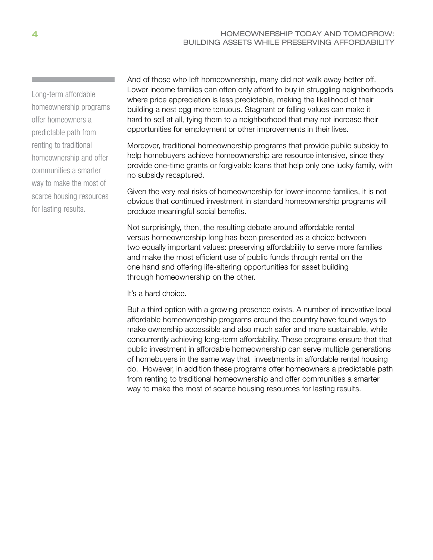Long-term affordable homeownership programs offer homeowners a predictable path from renting to traditional homeownership and offer communities a smarter way to make the most of scarce housing resources for lasting results.

And of those who left homeownership, many did not walk away better off. Lower income families can often only afford to buy in struggling neighborhoods where price appreciation is less predictable, making the likelihood of their building a nest egg more tenuous. Stagnant or falling values can make it hard to sell at all, tying them to a neighborhood that may not increase their opportunities for employment or other improvements in their lives.

Moreover, traditional homeownership programs that provide public subsidy to help homebuyers achieve homeownership are resource intensive, since they provide one-time grants or forgivable loans that help only one lucky family, with no subsidy recaptured.

Given the very real risks of homeownership for lower-income families, it is not obvious that continued investment in standard homeownership programs will produce meaningful social benefits.

Not surprisingly, then, the resulting debate around affordable rental versus homeownership long has been presented as a choice between two equally important values: preserving affordability to serve more families and make the most efficient use of public funds through rental on the one hand and offering life-altering opportunities for asset building through homeownership on the other.

It's a hard choice.

But a third option with a growing presence exists. A number of innovative local affordable homeownership programs around the country have found ways to make ownership accessible and also much safer and more sustainable, while concurrently achieving long-term affordability. These programs ensure that that public investment in affordable homeownership can serve multiple generations of homebuyers in the same way that investments in affordable rental housing do. However, in addition these programs offer homeowners a predictable path from renting to traditional homeownership and offer communities a smarter way to make the most of scarce housing resources for lasting results.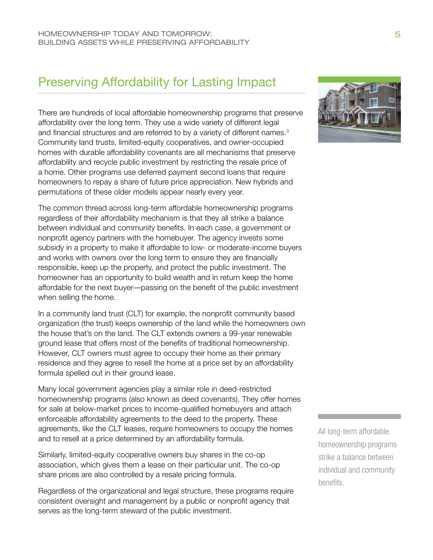# Preserving Affordability for Lasting Impact

There are hundreds of local affordable homeownership programs that preserve affordability over the long term. They use a wide variety of different legal and financial structures and are referred to by a variety of different names.<sup>3</sup> Community land trusts, limited-equity cooperatives, and owner-occupied homes with durable affordability covenants are all mechanisms that preserve affordability and recycle public investment by restricting the resale price of a home. Other programs use deferred payment second loans that require homeowners to repay a share of future price appreciation. New hybrids and permutations of these older models appear nearly every year.

The common thread across long-term affordable homeownership programs regardless of their affordability mechanism is that they all strike a balance between individual and community benefits. In each case, a government or nonprofit agency partners with the homebuyer. The agency invests some subsidy in a property to make it affordable to low- or moderate-income buyers and works with owners over the long term to ensure they are financially responsible, keep up the property, and protect the public investment. The homeowner has an opportunity to build wealth and in return keep the home affordable for the next buyer—passing on the benefit of the public investment when selling the home.

In a community land trust (CLT) for example, the nonprofit community based organization (the trust) keeps ownership of the land while the homeowners own the house that's on the land. The CLT extends owners a 99-year renewable ground lease that offers most of the benefits of traditional homeownership. However, CLT owners must agree to occupy their home as their primary residence and they agree to resell the home at a price set by an affordability formula spelled out in their ground lease.

Many local government agencies play a similar role in deed-restricted homeownership programs (also known as deed covenants). They offer homes for sale at below-market prices to income-qualified homebuyers and attach enforceable affordability agreements to the deed to the property. These agreements, like the CLT leases, require homeowners to occupy the homes and to resell at a price determined by an affordability formula.

Similarly, limited-equity cooperative owners buy shares in the co-op association, which gives them a lease on their particular unit. The co-op share prices are also controlled by a resale pricing formula.

Regardless of the organizational and legal structure, these programs require consistent oversight and management by a public or nonprofit agency that serves as the long-term steward of the public investment.



All long-term affordable homeownership programs strike a balance between individual and community benefits.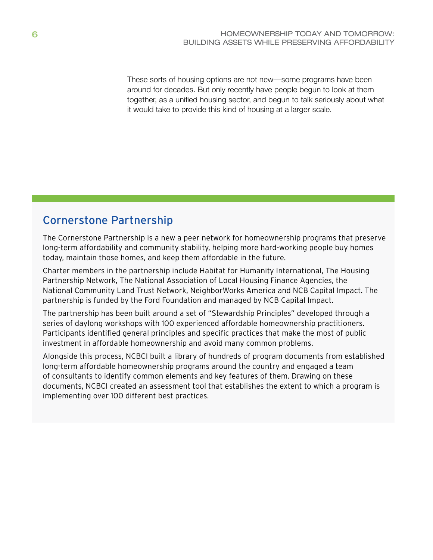These sorts of housing options are not new—some programs have been around for decades. But only recently have people begun to look at them together, as a unified housing sector, and begun to talk seriously about what it would take to provide this kind of housing at a larger scale.

# Cornerstone Partnership

The Cornerstone Partnership is a new a peer network for homeownership programs that preserve long-term affordability and community stability, helping more hard-working people buy homes today, maintain those homes, and keep them affordable in the future.

Charter members in the partnership include Habitat for Humanity International, The Housing Partnership Network, The National Association of Local Housing Finance Agencies, the National Community Land Trust Network, NeighborWorks America and NCB Capital Impact. The partnership is funded by the Ford Foundation and managed by NCB Capital Impact.

The partnership has been built around a set of "Stewardship Principles" developed through a series of daylong workshops with 100 experienced affordable homeownership practitioners. Participants identified general principles and specific practices that make the most of public investment in affordable homeownership and avoid many common problems.

Alongside this process, NCBCI built a library of hundreds of program documents from established long-term affordable homeownership programs around the country and engaged a team of consultants to identify common elements and key features of them. Drawing on these documents, NCBCI created an assessment tool that establishes the extent to which a program is implementing over 100 different best practices.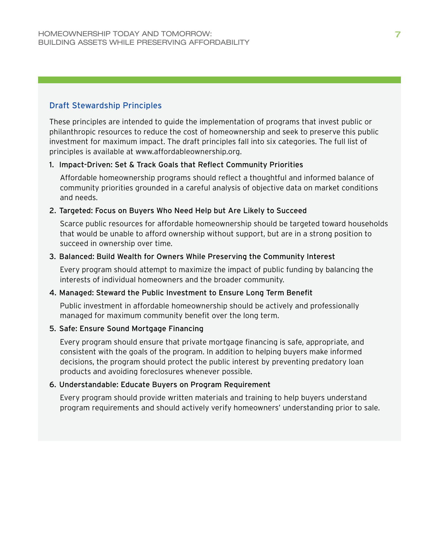### Draft Stewardship Principles

These principles are intended to guide the implementation of programs that invest public or philanthropic resources to reduce the cost of homeownership and seek to preserve this public investment for maximum impact. The draft principles fall into six categories. The full list of principles is available at [www.affordableownership.org](http://www.affordableownership.org).

### 1. Impact-Driven: Set & Track Goals that Reflect Community Priorities

Affordable homeownership programs should reflect a thoughtful and informed balance of community priorities grounded in a careful analysis of objective data on market conditions and needs.

### 2. Targeted: Focus on Buyers Who Need Help but Are Likely to Succeed

Scarce public resources for affordable homeownership should be targeted toward households that would be unable to afford ownership without support, but are in a strong position to succeed in ownership over time.

### 3. Balanced: Build Wealth for Owners While Preserving the Community Interest

Every program should attempt to maximize the impact of public funding by balancing the interests of individual homeowners and the broader community.

### 4. Managed: Steward the Public Investment to Ensure Long Term Benefit

Public investment in affordable homeownership should be actively and professionally managed for maximum community benefit over the long term.

### 5. Safe: Ensure Sound Mortgage Financing

Every program should ensure that private mortgage financing is safe, appropriate, and consistent with the goals of the program. In addition to helping buyers make informed decisions, the program should protect the public interest by preventing predatory loan products and avoiding foreclosures whenever possible.

### 6. Understandable: Educate Buyers on Program Requirement

Every program should provide written materials and training to help buyers understand program requirements and should actively verify homeowners' understanding prior to sale.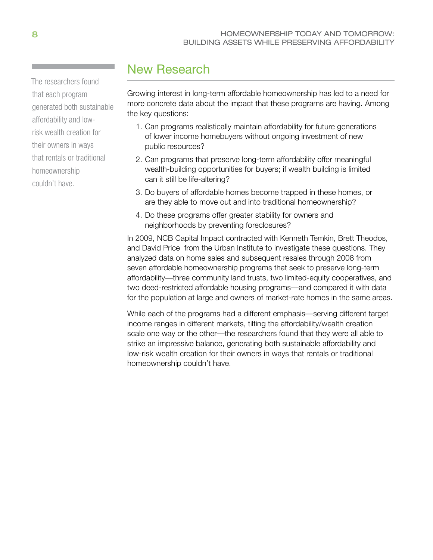The researchers found that each program generated both sustainable affordability and lowrisk wealth creation for their owners in ways that rentals or traditional homeownership couldn't have.

# New Research

Growing interest in long-term affordable homeownership has led to a need for more concrete data about the impact that these programs are having. Among the key questions:

- 1. Can programs realistically maintain affordability for future generations of lower income homebuyers without ongoing investment of new public resources?
- 2. Can programs that preserve long-term affordability offer meaningful wealth-building opportunities for buyers; if wealth building is limited can it still be life-altering?
- 3. Do buyers of affordable homes become trapped in these homes, or are they able to move out and into traditional homeownership?
- 4. Do these programs offer greater stability for owners and neighborhoods by preventing foreclosures?

In 2009, NCB Capital Impact contracted with Kenneth Temkin, Brett Theodos, and David Price from the Urban Institute to investigate these questions. They analyzed data on home sales and subsequent resales through 2008 from seven affordable homeownership programs that seek to preserve long-term affordability—three community land trusts, two limited-equity cooperatives, and two deed-restricted affordable housing programs—and compared it with data for the population at large and owners of market-rate homes in the same areas.

While each of the programs had a different emphasis—serving different target income ranges in different markets, tilting the affordability/wealth creation scale one way or the other—the researchers found that they were all able to strike an impressive balance, generating both sustainable affordability and low-risk wealth creation for their owners in ways that rentals or traditional homeownership couldn't have.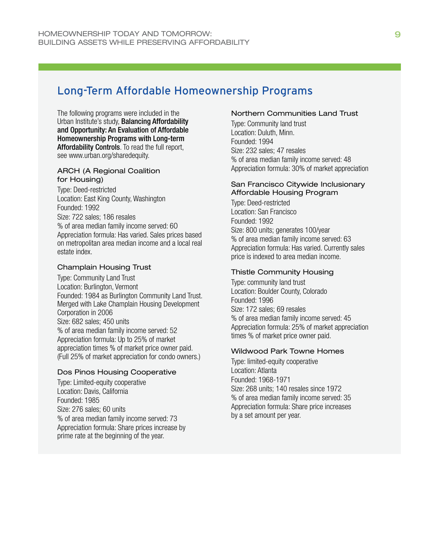# Long-Term Affordable Homeownership Programs

The following programs were included in the Urban Institute's study, Balancing Affordability and Opportunity: An Evaluation of Affordable Homeownership Programs with Long-term Affordability Controls. To read the full report, see [www.urban.org/sharedequity.](http://www.urban.org/sharedequity)

#### ARCH (A Regional Coalition for Housing)

Type: Deed-restricted Location: East King County, Washington Founded: 1992 Size: 722 sales; 186 resales % of area median family income served: 6O Appreciation formula: Has varied. Sales prices based on metropolitan area median income and a local real estate index.

#### Champlain Housing Trust

Type: Community Land Trust Location: Burlington, Vermont Founded: 1984 as Burlington Community Land Trust. Merged with Lake Champlain Housing Development Corporation in 2006 Size: 682 sales; 450 units % of area median family income served: 52 Appreciation formula: Up to 25% of market appreciation times % of market price owner paid. (Full 25% of market appreciation for condo owners.)

#### Dos Pinos Housing Cooperative

Type: Limited-equity cooperative Location: Davis, California Founded: 1985 Size: 276 sales; 60 units % of area median family income served: 73 Appreciation formula: Share prices increase by prime rate at the beginning of the year.

#### Northern Communities Land Trust

Type: Community land trust Location: Duluth, Minn. Founded: 1994 Size: 232 sales; 47 resales % of area median family income served: 48 Appreciation formula: 30% of market appreciation

#### San Francisco Citywide Inclusionary Affordable Housing Program

Type: Deed-restricted Location: San Francisco Founded: 1992 Size: 800 units; generates 100/year % of area median family income served: 63 Appreciation formula: Has varied. Currently sales price is indexed to area median income.

#### Thistle Community Housing

Type: community land trust Location: Boulder County, Colorado Founded: 1996 Size: 172 sales; 69 resales % of area median family income served: 45 Appreciation formula: 25% of market appreciation times % of market price owner paid.

#### Wildwood Park Towne Homes

Type: limited-equity cooperative Location: Atlanta Founded: 1968-1971 Size: 268 units; 140 resales since 1972 % of area median family income served: 35 Appreciation formula: Share price increases by a set amount per year.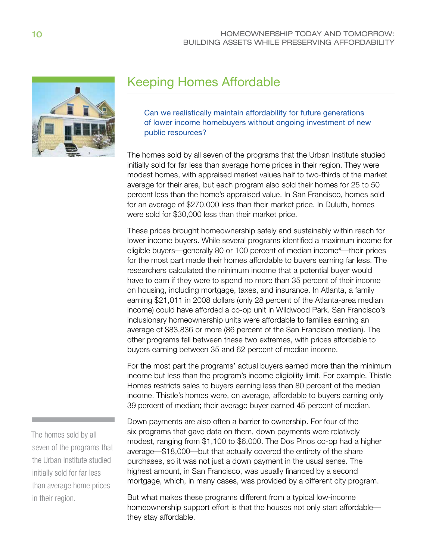

# Keeping Homes Affordable

Can we realistically maintain affordability for future generations of lower income homebuyers without ongoing investment of new public resources?

The homes sold by all seven of the programs that the Urban Institute studied initially sold for far less than average home prices in their region. They were modest homes, with appraised market values half to two-thirds of the market average for their area, but each program also sold their homes for 25 to 50 percent less than the home's appraised value. In San Francisco, homes sold for an average of \$270,000 less than their market price. In Duluth, homes were sold for \$30,000 less than their market price.

These prices brought homeownership safely and sustainably within reach for lower income buyers. While several programs identified a maximum income for eligible buyers—generally 80 or 100 percent of median income<sup>4</sup>—their prices for the most part made their homes affordable to buyers earning far less. The researchers calculated the minimum income that a potential buyer would have to earn if they were to spend no more than 35 percent of their income on housing, including mortgage, taxes, and insurance. In Atlanta, a family earning \$21,011 in 2008 dollars (only 28 percent of the Atlanta-area median income) could have afforded a co-op unit in Wildwood Park. San Francisco's inclusionary homeownership units were affordable to families earning an average of \$83,836 or more (86 percent of the San Francisco median). The other programs fell between these two extremes, with prices affordable to buyers earning between 35 and 62 percent of median income.

For the most part the programs' actual buyers earned more than the minimum income but less than the program's income eligibility limit. For example, Thistle Homes restricts sales to buyers earning less than 80 percent of the median income. Thistle's homes were, on average, affordable to buyers earning only 39 percent of median; their average buyer earned 45 percent of median.

Down payments are also often a barrier to ownership. For four of the six programs that gave data on them, down payments were relatively modest, ranging from \$1,100 to \$6,000. The Dos Pinos co-op had a higher average—\$18,000—but that actually covered the entirety of the share purchases, so it was not just a down payment in the usual sense. The highest amount, in San Francisco, was usually financed by a second mortgage, which, in many cases, was provided by a different city program.

But what makes these programs different from a typical low-income homeownership support effort is that the houses not only start affordable they stay affordable.

The homes sold by all seven of the programs that the Urban Institute studied initially sold for far less than average home prices in their region.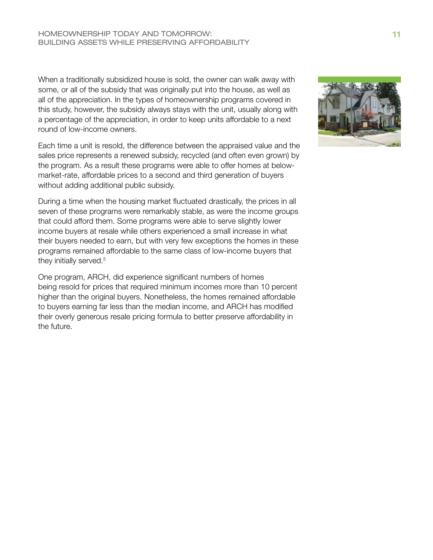When a traditionally subsidized house is sold, the owner can walk away with some, or all of the subsidy that was originally put into the house, as well as all of the appreciation. In the types of homeownership programs covered in this study, however, the subsidy always stays with the unit, usually along with a percentage of the appreciation, in order to keep units affordable to a next round of low-income owners.

Each time a unit is resold, the difference between the appraised value and the sales price represents a renewed subsidy, recycled (and often even grown) by the program. As a result these programs were able to offer homes at belowmarket-rate, affordable prices to a second and third generation of buyers without adding additional public subsidy.

During a time when the housing market fluctuated drastically, the prices in all seven of these programs were remarkably stable, as were the income groups that could afford them. Some programs were able to serve slightly lower income buyers at resale while others experienced a small increase in what their buyers needed to earn, but with very few exceptions the homes in these programs remained affordable to the same class of low-income buyers that they initially served.<sup>5</sup>

One program, ARCH, did experience significant numbers of homes being resold for prices that required minimum incomes more than 10 percent higher than the original buyers. Nonetheless, the homes remained affordable to buyers earning far less than the median income, and ARCH has modified their overly generous resale pricing formula to better preserve affordability in the future.

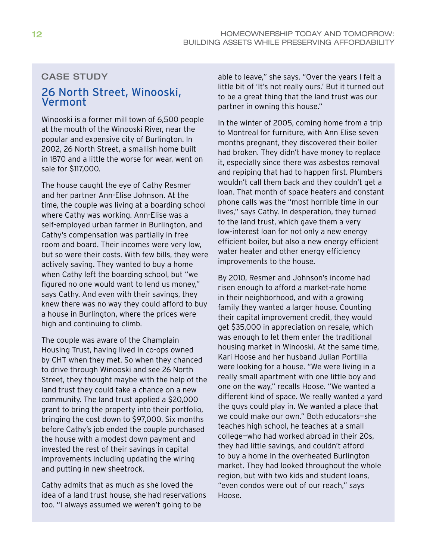### CASE STUDY

## 26 North Street, Winooski, Vermont

Winooski is a former mill town of 6,500 people at the mouth of the Winooski River, near the popular and expensive city of Burlington. In 2002, 26 North Street, a smallish home built in 1870 and a little the worse for wear, went on sale for \$117,000.

The house caught the eye of Cathy Resmer and her partner Ann-Elise Johnson. At the time, the couple was living at a boarding school where Cathy was working. Ann-Elise was a self-employed urban farmer in Burlington, and Cathy's compensation was partially in free room and board. Their incomes were very low, but so were their costs. With few bills, they were actively saving. They wanted to buy a home when Cathy left the boarding school, but "we figured no one would want to lend us money," says Cathy. And even with their savings, they knew there was no way they could afford to buy a house in Burlington, where the prices were high and continuing to climb.

The couple was aware of the Champlain Housing Trust, having lived in co-ops owned by CHT when they met. So when they chanced to drive through Winooski and see 26 North Street, they thought maybe with the help of the land trust they could take a chance on a new community. The land trust applied a \$20,000 grant to bring the property into their portfolio, bringing the cost down to \$97,000. Six months before Cathy's job ended the couple purchased the house with a modest down payment and invested the rest of their savings in capital improvements including updating the wiring and putting in new sheetrock.

Cathy admits that as much as she loved the idea of a land trust house, she had reservations too. "I always assumed we weren't going to be

able to leave," she says. "Over the years I felt a little bit of 'It's not really ours.' But it turned out to be a great thing that the land trust was our partner in owning this house."

In the winter of 2005, coming home from a trip to Montreal for furniture, with Ann Elise seven months pregnant, they discovered their boiler had broken. They didn't have money to replace it, especially since there was asbestos removal and repiping that had to happen first. Plumbers wouldn't call them back and they couldn't get a loan. That month of space heaters and constant phone calls was the "most horrible time in our lives," says Cathy. In desperation, they turned to the land trust, which gave them a very low-interest loan for not only a new energy efficient boiler, but also a new energy efficient water heater and other energy efficiency improvements to the house.

By 2010, Resmer and Johnson's income had risen enough to afford a market-rate home in their neighborhood, and with a growing family they wanted a larger house. Counting their capital improvement credit, they would get \$35,000 in appreciation on resale, which was enough to let them enter the traditional housing market in Winooski. At the same time, Kari Hoose and her husband Julian Portilla were looking for a house. "We were living in a really small apartment with one little boy and one on the way," recalls Hoose. "We wanted a different kind of space. We really wanted a yard the guys could play in. We wanted a place that we could make our own." Both educators—she teaches high school, he teaches at a small college—who had worked abroad in their 20s, they had little savings, and couldn't afford to buy a home in the overheated Burlington market. They had looked throughout the whole region, but with two kids and student loans, "even condos were out of our reach," says Hoose.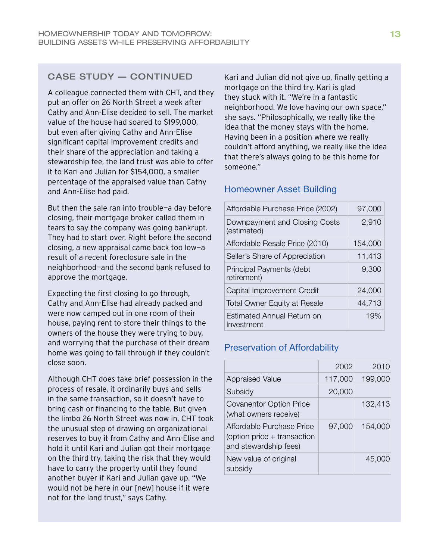## case study — continued

A colleague connected them with CHT, and they put an offer on 26 North Street a week after Cathy and Ann-Elise decided to sell. The market value of the house had soared to \$199,000, but even after giving Cathy and Ann-Elise significant capital improvement credits and their share of the appreciation and taking a stewardship fee, the land trust was able to offer it to Kari and Julian for \$154,000, a smaller percentage of the appraised value than Cathy and Ann-Elise had paid.

But then the sale ran into trouble—a day before closing, their mortgage broker called them in tears to say the company was going bankrupt. They had to start over. Right before the second closing, a new appraisal came back too low—a result of a recent foreclosure sale in the neighborhood—and the second bank refused to approve the mortgage.

Expecting the first closing to go through, Cathy and Ann-Elise had already packed and were now camped out in one room of their house, paying rent to store their things to the owners of the house they were trying to buy, and worrying that the purchase of their dream home was going to fall through if they couldn't close soon.

Although CHT does take brief possession in the process of resale, it ordinarily buys and sells in the same transaction, so it doesn't have to bring cash or financing to the table. But given the limbo 26 North Street was now in, CHT took the unusual step of drawing on organizational reserves to buy it from Cathy and Ann-Elise and hold it until Kari and Julian got their mortgage on the third try, taking the risk that they would have to carry the property until they found another buyer if Kari and Julian gave up. "We would not be here in our [new] house if it were not for the land trust," says Cathy.

Kari and Julian did not give up, finally getting a mortgage on the third try. Kari is glad they stuck with it. "We're in a fantastic neighborhood. We love having our own space," she says. "Philosophically, we really like the idea that the money stays with the home. Having been in a position where we really couldn't afford anything, we really like the idea that there's always going to be this home for someone."

### Homeowner Asset Building

| Affordable Purchase Price (2002)             | 97,000  |
|----------------------------------------------|---------|
| Downpayment and Closing Costs<br>(estimated) | 2,910   |
| Affordable Resale Price (2010)               | 154,000 |
| Seller's Share of Appreciation               | 11,413  |
| Principal Payments (debt<br>retirement)      | 9,300   |
| Capital Improvement Credit                   | 24,000  |
| <b>Total Owner Equity at Resale</b>          | 44,713  |
| Estimated Annual Return on<br>Investment     | 19%     |

## Preservation of Affordability

|                                                                                   | 2002    | 2010    |
|-----------------------------------------------------------------------------------|---------|---------|
| <b>Appraised Value</b>                                                            | 117,000 | 199,000 |
| Subsidy                                                                           | 20,000  |         |
| <b>Covanentor Option Price</b><br>(what owners receive)                           |         | 132,413 |
| Affordable Purchase Price<br>(option price + transaction<br>and stewardship fees) | 97,000  | 154,000 |
| New value of original<br>subsidy                                                  |         | 45,000  |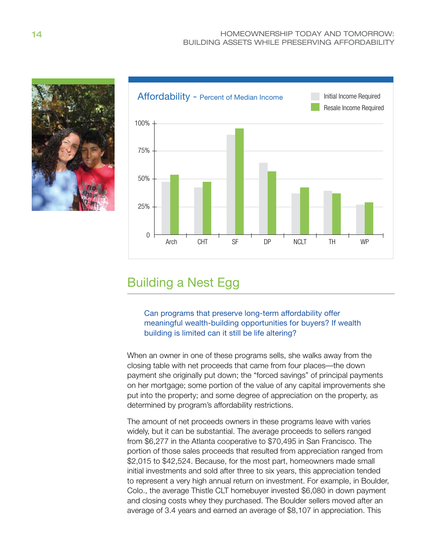



# Building a Nest Egg

Can programs that preserve long-term affordability offer meaningful wealth-building opportunities for buyers? If wealth building is limited can it still be life altering?

When an owner in one of these programs sells, she walks away from the closing table with net proceeds that came from four places—the down payment she originally put down; the "forced savings" of principal payments on her mortgage; some portion of the value of any capital improvements she put into the property; and some degree of appreciation on the property, as determined by program's affordability restrictions.

The amount of net proceeds owners in these programs leave with varies widely, but it can be substantial. The average proceeds to sellers ranged from \$6,277 in the Atlanta cooperative to \$70,495 in San Francisco. The portion of those sales proceeds that resulted from appreciation ranged from \$2,015 to \$42,524. Because, for the most part, homeowners made small initial investments and sold after three to six years, this appreciation tended to represent a very high annual return on investment. For example, in Boulder, Colo., the average Thistle CLT homebuyer invested \$6,080 in down payment and closing costs whey they purchased. The Boulder sellers moved after an average of 3.4 years and earned an average of \$8,107 in appreciation. This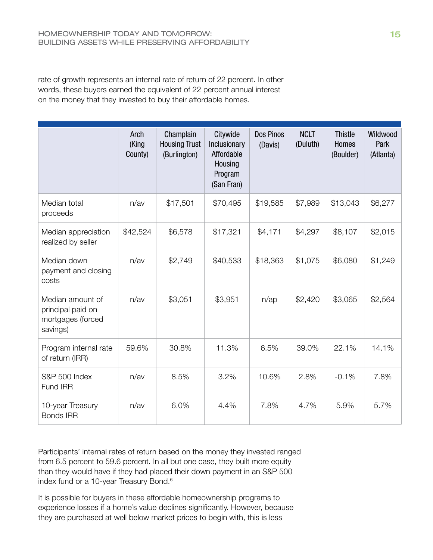rate of growth represents an internal rate of return of 22 percent. In other words, these buyers earned the equivalent of 22 percent annual interest on the money that they invested to buy their affordable homes.

|                                                                        | Arch<br>(King<br>County) | Champlain<br><b>Housing Trust</b><br>(Burlington) | Citywide<br>Inclusionary<br>Affordable<br>Housing<br>Program<br>(San Fran) | Dos Pinos<br>(Davis) | <b>NCLT</b><br>(Duluth) | <b>Thistle</b><br>Homes<br>(Boulder) | Wildwood<br>Park<br>(Atlanta) |
|------------------------------------------------------------------------|--------------------------|---------------------------------------------------|----------------------------------------------------------------------------|----------------------|-------------------------|--------------------------------------|-------------------------------|
| Median total<br>proceeds                                               | n/av                     | \$17,501                                          | \$70,495                                                                   | \$19,585             | \$7,989                 | \$13,043                             | \$6,277                       |
| Median appreciation<br>realized by seller                              | \$42,524                 | \$6,578                                           | \$17,321                                                                   | \$4,171              | \$4,297                 | \$8,107                              | \$2,015                       |
| Median down<br>payment and closing<br>costs                            | n/av                     | \$2,749                                           | \$40,533                                                                   | \$18,363             | \$1,075                 | \$6,080                              | \$1,249                       |
| Median amount of<br>principal paid on<br>mortgages (forced<br>savings) | n/av                     | \$3,051                                           | \$3,951                                                                    | $n$ /ap              | \$2,420                 | \$3,065                              | \$2,564                       |
| Program internal rate<br>of return (IRR)                               | 59.6%                    | 30.8%                                             | 11.3%                                                                      | 6.5%                 | 39.0%                   | 22.1%                                | 14.1%                         |
| S&P 500 Index<br>Fund IRR                                              | n/av                     | 8.5%                                              | 3.2%                                                                       | 10.6%                | 2.8%                    | $-0.1%$                              | 7.8%                          |
| 10-year Treasury<br><b>Bonds IRR</b>                                   | n/av                     | 6.0%                                              | 4.4%                                                                       | 7.8%                 | 4.7%                    | 5.9%                                 | 5.7%                          |

Participants' internal rates of return based on the money they invested ranged from 6.5 percent to 59.6 percent. In all but one case, they built more equity than they would have if they had placed their down payment in an S&P 500 index fund or a 10-year Treasury Bond.<sup>6</sup>

It is possible for buyers in these affordable homeownership programs to experience losses if a home's value declines significantly. However, because they are purchased at well below market prices to begin with, this is less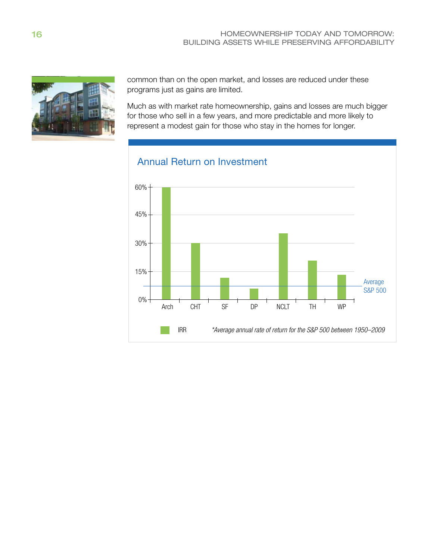

common than on the open market, and losses are reduced under these programs just as gains are limited.

Much as with market rate homeownership, gains and losses are much bigger for those who sell in a few years, and more predictable and more likely to represent a modest gain for those who stay in the homes for longer.



## Annual Return on Investment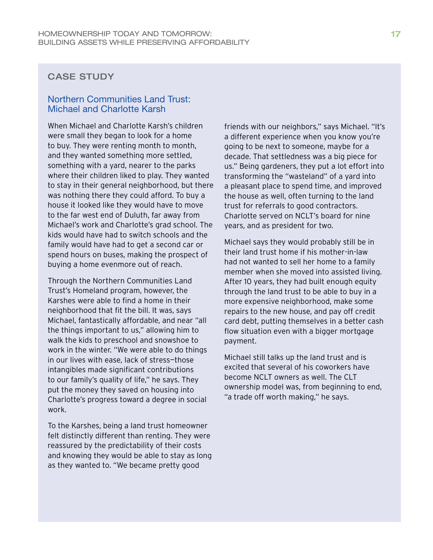## CASE STUDY

### Northern Communities Land Trust: Michael and Charlotte Karsh

When Michael and Charlotte Karsh's children were small they began to look for a home to buy. They were renting month to month, and they wanted something more settled, something with a yard, nearer to the parks where their children liked to play. They wanted to stay in their general neighborhood, but there was nothing there they could afford. To buy a house it looked like they would have to move to the far west end of Duluth, far away from Michael's work and Charlotte's grad school. The kids would have had to switch schools and the family would have had to get a second car or spend hours on buses, making the prospect of buying a home evenmore out of reach.

Through the Northern Communities Land Trust's Homeland program, however, the Karshes were able to find a home in their neighborhood that fit the bill. It was, says Michael, fantastically affordable, and near "all the things important to us," allowing him to walk the kids to preschool and snowshoe to work in the winter. "We were able to do things in our lives with ease, lack of stress—those intangibles made significant contributions to our family's quality of life," he says. They put the money they saved on housing into Charlotte's progress toward a degree in social work.

To the Karshes, being a land trust homeowner felt distinctly different than renting. They were reassured by the predictability of their costs and knowing they would be able to stay as long as they wanted to. "We became pretty good

friends with our neighbors," says Michael. "It's a different experience when you know you're going to be next to someone, maybe for a decade. That settledness was a big piece for us." Being gardeners, they put a lot effort into transforming the "wasteland" of a yard into a pleasant place to spend time, and improved the house as well, often turning to the land trust for referrals to good contractors. Charlotte served on NCLT's board for nine years, and as president for two.

Michael says they would probably still be in their land trust home if his mother-in-law had not wanted to sell her home to a family member when she moved into assisted living. After 10 years, they had built enough equity through the land trust to be able to buy in a more expensive neighborhood, make some repairs to the new house, and pay off credit card debt, putting themselves in a better cash flow situation even with a bigger mortgage payment.

Michael still talks up the land trust and is excited that several of his coworkers have become NCLT owners as well. The CLT ownership model was, from beginning to end, "a trade off worth making," he says.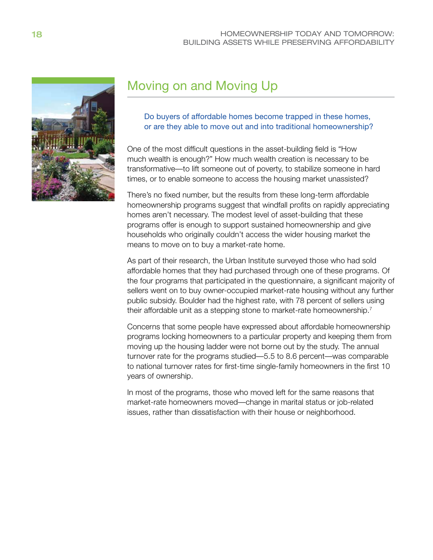

# Moving on and Moving Up

### Do buyers of affordable homes become trapped in these homes, or are they able to move out and into traditional homeownership?

One of the most difficult questions in the asset-building field is "How much wealth is enough?" How much wealth creation is necessary to be transformative—to lift someone out of poverty, to stabilize someone in hard times, or to enable someone to access the housing market unassisted?

There's no fixed number, but the results from these long-term affordable homeownership programs suggest that windfall profits on rapidly appreciating homes aren't necessary. The modest level of asset-building that these programs offer is enough to support sustained homeownership and give households who originally couldn't access the wider housing market the means to move on to buy a market-rate home.

As part of their research, the Urban Institute surveyed those who had sold affordable homes that they had purchased through one of these programs. Of the four programs that participated in the questionnaire, a significant majority of sellers went on to buy owner-occupied market-rate housing without any further public subsidy. Boulder had the highest rate, with 78 percent of sellers using their affordable unit as a stepping stone to market-rate homeownership.<sup>7</sup>

Concerns that some people have expressed about affordable homeownership programs locking homeowners to a particular property and keeping them from moving up the housing ladder were not borne out by the study. The annual turnover rate for the programs studied—5.5 to 8.6 percent—was comparable to national turnover rates for first-time single-family homeowners in the first 10 years of ownership.

In most of the programs, those who moved left for the same reasons that market-rate homeowners moved—change in marital status or job-related issues, rather than dissatisfaction with their house or neighborhood.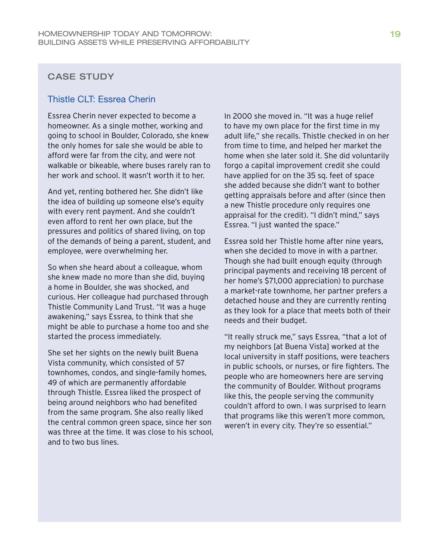## CASE STUDY

### Thistle CLT: Essrea Cherin

Essrea Cherin never expected to become a homeowner. As a single mother, working and going to school in Boulder, Colorado, she knew the only homes for sale she would be able to afford were far from the city, and were not walkable or bikeable, where buses rarely ran to her work and school. It wasn't worth it to her.

And yet, renting bothered her. She didn't like the idea of building up someone else's equity with every rent payment. And she couldn't even afford to rent her own place, but the pressures and politics of shared living, on top of the demands of being a parent, student, and employee, were overwhelming her.

So when she heard about a colleague, whom she knew made no more than she did, buying a home in Boulder, she was shocked, and curious. Her colleague had purchased through Thistle Community Land Trust. "It was a huge awakening," says Essrea, to think that she might be able to purchase a home too and she started the process immediately.

She set her sights on the newly built Buena Vista community, which consisted of 57 townhomes, condos, and single-family homes, 49 of which are permanently affordable through Thistle. Essrea liked the prospect of being around neighbors who had benefited from the same program. She also really liked the central common green space, since her son was three at the time. It was close to his school, and to two bus lines.

In 2000 she moved in. "It was a huge relief to have my own place for the first time in my adult life," she recalls. Thistle checked in on her from time to time, and helped her market the home when she later sold it. She did voluntarily forgo a capital improvement credit she could have applied for on the 35 sq. feet of space she added because she didn't want to bother getting appraisals before and after (since then a new Thistle procedure only requires one appraisal for the credit). "I didn't mind," says Essrea. "I just wanted the space."

Essrea sold her Thistle home after nine years, when she decided to move in with a partner. Though she had built enough equity (through principal payments and receiving 18 percent of her home's \$71,000 appreciation) to purchase a market-rate townhome, her partner prefers a detached house and they are currently renting as they look for a place that meets both of their needs and their budget.

"It really struck me," says Essrea, "that a lot of my neighbors [at Buena Vista] worked at the local university in staff positions, were teachers in public schools, or nurses, or fire fighters. The people who are homeowners here are serving the community of Boulder. Without programs like this, the people serving the community couldn't afford to own. I was surprised to learn that programs like this weren't more common, weren't in every city. They're so essential."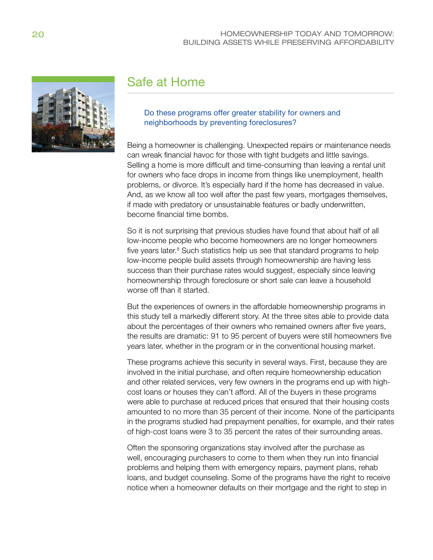

# Safe at Home

#### Do these programs offer greater stability for owners and neighborhoods by preventing foreclosures?

Being a homeowner is challenging. Unexpected repairs or maintenance needs can wreak financial havoc for those with tight budgets and little savings. Selling a home is more difficult and time-consuming than leaving a rental unit for owners who face drops in income from things like unemployment, health problems, or divorce. It's especially hard if the home has decreased in value. And, as we know all too well after the past few years, mortgages themselves, if made with predatory or unsustainable features or badly underwritten, become financial time bombs.

So it is not surprising that previous studies have found that about half of all low-income people who become homeowners are no longer homeowners five years later.<sup>8</sup> Such statistics help us see that standard programs to help low-income people build assets through homeownership are having less success than their purchase rates would suggest, especially since leaving homeownership through foreclosure or short sale can leave a household worse off than it started.

But the experiences of owners in the affordable homeownership programs in this study tell a markedly different story. At the three sites able to provide data about the percentages of their owners who remained owners after five years, the results are dramatic: 91 to 95 percent of buyers were still homeowners five years later, whether in the program or in the conventional housing market.

These programs achieve this security in several ways. First, because they are involved in the initial purchase, and often require homeownership education and other related services, very few owners in the programs end up with highcost loans or houses they can't afford. All of the buyers in these programs were able to purchase at reduced prices that ensured that their housing costs amounted to no more than 35 percent of their income. None of the participants in the programs studied had prepayment penalties, for example, and their rates of high-cost loans were 3 to 35 percent the rates of their surrounding areas.

Often the sponsoring organizations stay involved after the purchase as well, encouraging purchasers to come to them when they run into financial problems and helping them with emergency repairs, payment plans, rehab loans, and budget counseling. Some of the programs have the right to receive notice when a homeowner defaults on their mortgage and the right to step in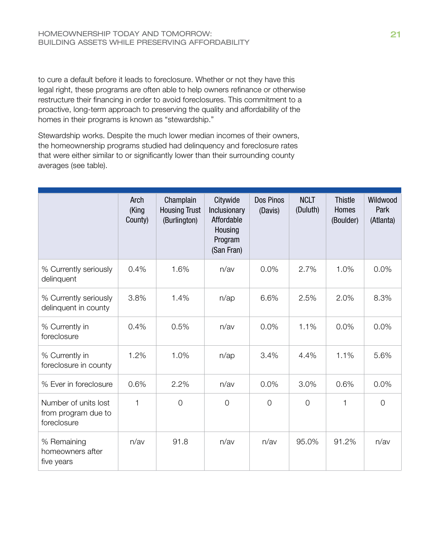to cure a default before it leads to foreclosure. Whether or not they have this legal right, these programs are often able to help owners refinance or otherwise restructure their financing in order to avoid foreclosures. This commitment to a proactive, long-term approach to preserving the quality and affordability of the homes in their programs is known as "stewardship."

Stewardship works. Despite the much lower median incomes of their owners, the homeownership programs studied had delinquency and foreclosure rates that were either similar to or significantly lower than their surrounding county averages (see table).

|                                                            | Arch<br>(King<br>County) | Champlain<br><b>Housing Trust</b><br>(Burlington) | Citywide<br>Inclusionary<br>Affordable<br>Housing<br>Program<br>(San Fran) | Dos Pinos<br>(Davis) | <b>NCLT</b><br>(Duluth) | <b>Thistle</b><br>Homes<br>(Boulder) | Wildwood<br>Park<br>(Atlanta) |
|------------------------------------------------------------|--------------------------|---------------------------------------------------|----------------------------------------------------------------------------|----------------------|-------------------------|--------------------------------------|-------------------------------|
| % Currently seriously<br>delinquent                        | 0.4%                     | 1.6%                                              | n/av                                                                       | 0.0%                 | 2.7%                    | 1.0%                                 | 0.0%                          |
| % Currently seriously<br>delinquent in county              | 3.8%                     | 1.4%                                              | $n$ /ap                                                                    | 6.6%                 | 2.5%                    | 2.0%                                 | 8.3%                          |
| % Currently in<br>foreclosure                              | 0.4%                     | 0.5%                                              | n/av                                                                       | 0.0%                 | 1.1%                    | 0.0%                                 | 0.0%                          |
| % Currently in<br>foreclosure in county                    | 1.2%                     | 1.0%                                              | $n$ /ap                                                                    | 3.4%                 | 4.4%                    | 1.1%                                 | 5.6%                          |
| % Ever in foreclosure                                      | 0.6%                     | 2.2%                                              | n/av                                                                       | 0.0%                 | 3.0%                    | 0.6%                                 | 0.0%                          |
| Number of units lost<br>from program due to<br>foreclosure | 1                        | $\overline{O}$                                    | $\overline{O}$                                                             | $\Omega$             | $\Omega$                | 1                                    | $\Omega$                      |
| % Remaining<br>homeowners after<br>five years              | n/av                     | 91.8                                              | n/av                                                                       | n/av                 | 95.0%                   | 91.2%                                | n/av                          |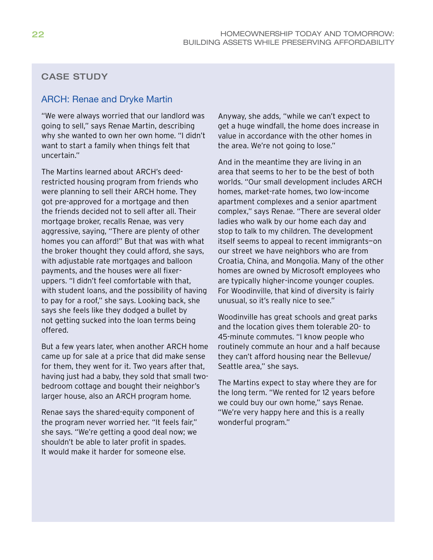## CASE STUDY

### ARCH: Renae and Dryke Martin

"We were always worried that our landlord was going to sell," says Renae Martin, describing why she wanted to own her own home. "I didn't want to start a family when things felt that uncertain."

The Martins learned about ARCH's deedrestricted housing program from friends who were planning to sell their ARCH home. They got pre-approved for a mortgage and then the friends decided not to sell after all. Their mortgage broker, recalls Renae, was very aggressive, saying, "There are plenty of other homes you can afford!" But that was with what the broker thought they could afford, she says, with adjustable rate mortgages and balloon payments, and the houses were all fixeruppers. "I didn't feel comfortable with that, with student loans, and the possibility of having to pay for a roof," she says. Looking back, she says she feels like they dodged a bullet by not getting sucked into the loan terms being offered.

But a few years later, when another ARCH home came up for sale at a price that did make sense for them, they went for it. Two years after that, having just had a baby, they sold that small twobedroom cottage and bought their neighbor's larger house, also an ARCH program home.

Renae says the shared-equity component of the program never worried her. "It feels fair," she says. "We're getting a good deal now; we shouldn't be able to later profit in spades. It would make it harder for someone else.

Anyway, she adds, "while we can't expect to get a huge windfall, the home does increase in value in accordance with the other homes in the area. We're not going to lose."

And in the meantime they are living in an area that seems to her to be the best of both worlds. "Our small development includes ARCH homes, market-rate homes, two low-income apartment complexes and a senior apartment complex," says Renae. "There are several older ladies who walk by our home each day and stop to talk to my children. The development itself seems to appeal to recent immigrants—on our street we have neighbors who are from Croatia, China, and Mongolia. Many of the other homes are owned by Microsoft employees who are typically higher-income younger couples. For Woodinville, that kind of diversity is fairly unusual, so it's really nice to see."

Woodinville has great schools and great parks and the location gives them tolerable 20- to 45-minute commutes. "I know people who routinely commute an hour and a half because they can't afford housing near the Bellevue/ Seattle area," she says.

The Martins expect to stay where they are for the long term. "We rented for 12 years before we could buy our own home," says Renae. "We're very happy here and this is a really wonderful program."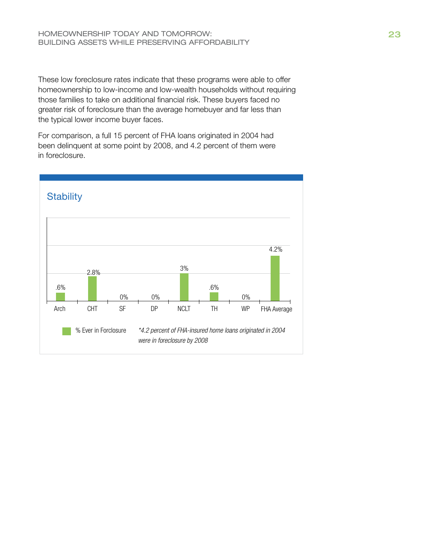These low foreclosure rates indicate that these programs were able to offer homeownership to low-income and low-wealth households without requiring those families to take on additional financial risk. These buyers faced no greater risk of foreclosure than the average homebuyer and far less than the typical lower income buyer faces.

For comparison, a full 15 percent of FHA loans originated in 2004 had been delinquent at some point by 2008, and 4.2 percent of them were in foreclosure.

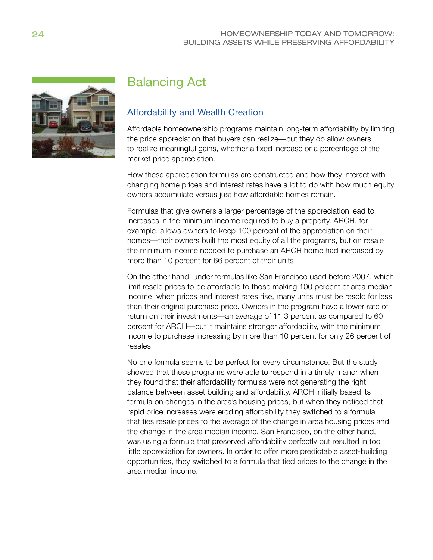

# Balancing Act

## Affordability and Wealth Creation

Affordable homeownership programs maintain long-term affordability by limiting the price appreciation that buyers can realize—but they do allow owners to realize meaningful gains, whether a fixed increase or a percentage of the market price appreciation.

How these appreciation formulas are constructed and how they interact with changing home prices and interest rates have a lot to do with how much equity owners accumulate versus just how affordable homes remain.

Formulas that give owners a larger percentage of the appreciation lead to increases in the minimum income required to buy a property. ARCH, for example, allows owners to keep 100 percent of the appreciation on their homes—their owners built the most equity of all the programs, but on resale the minimum income needed to purchase an ARCH home had increased by more than 10 percent for 66 percent of their units.

On the other hand, under formulas like San Francisco used before 2007, which limit resale prices to be affordable to those making 100 percent of area median income, when prices and interest rates rise, many units must be resold for less than their original purchase price. Owners in the program have a lower rate of return on their investments—an average of 11.3 percent as compared to 60 percent for ARCH—but it maintains stronger affordability, with the minimum income to purchase increasing by more than 10 percent for only 26 percent of resales.

No one formula seems to be perfect for every circumstance. But the study showed that these programs were able to respond in a timely manor when they found that their affordability formulas were not generating the right balance between asset building and affordability. ARCH initially based its formula on changes in the area's housing prices, but when they noticed that rapid price increases were eroding affordability they switched to a formula that ties resale prices to the average of the change in area housing prices and the change in the area median income. San Francisco, on the other hand, was using a formula that preserved affordability perfectly but resulted in too little appreciation for owners. In order to offer more predictable asset-building opportunities, they switched to a formula that tied prices to the change in the area median income.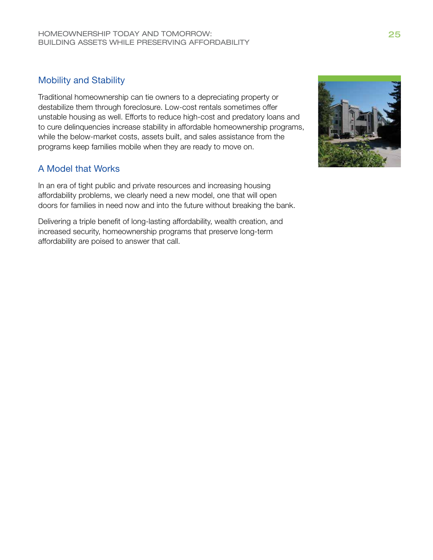## Mobility and Stability

Traditional homeownership can tie owners to a depreciating property or destabilize them through foreclosure. Low-cost rentals sometimes offer unstable housing as well. Efforts to reduce high-cost and predatory loans and to cure delinquencies increase stability in affordable homeownership programs, while the below-market costs, assets built, and sales assistance from the programs keep families mobile when they are ready to move on.

## A Model that Works

In an era of tight public and private resources and increasing housing affordability problems, we clearly need a new model, one that will open doors for families in need now and into the future without breaking the bank.

Delivering a triple benefit of long-lasting affordability, wealth creation, and increased security, homeownership programs that preserve long-term affordability are poised to answer that call.

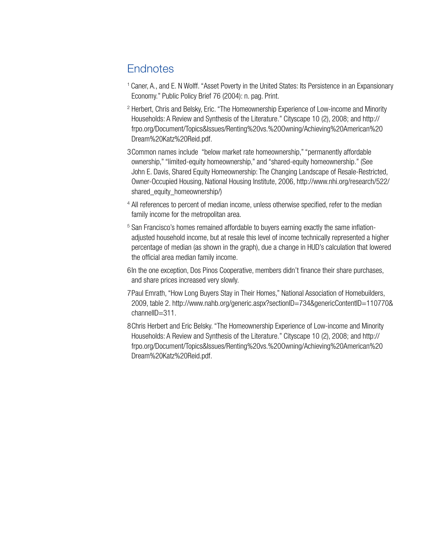# **Endnotes**

- <sup>1</sup>Caner, A., and E. N Wolff. "Asset Poverty in the United States: Its Persistence in an Expansionary Economy." Public Policy Brief 76 (2004): n. pag. Print.
- <sup>2</sup> Herbert, Chris and Belsky, Eric. "The Homeownership Experience of Low-income and Minority Households: A Review and Synthesis of the Literature." Cityscape 10 (2), 2008; and http:// frpo.org/Document/Topics&Issues/Renting%20vs.%20Owning/Achieving%20American%20 Dream%20Katz%20Reid.pdf.
- 3Common names include "below market rate homeownership," "permanently affordable ownership," "limited-equity homeownership," and "shared-equity homeownership." (See John E. Davis, Shared Equity Homeownership: The Changing Landscape of Resale-Restricted, Owner-Occupied Housing, National Housing Institute, 2006, http://www.nhi.org/research/522/ shared\_equity\_homeownership/)
- <sup>4</sup> All references to percent of median income, unless otherwise specified, refer to the median family income for the metropolitan area.
- <sup>5</sup> San Francisco's homes remained affordable to buyers earning exactly the same inflationadjusted household income, but at resale this level of income technically represented a higher percentage of median (as shown in the graph), due a change in HUD's calculation that lowered the official area median family income.
- 6In the one exception, Dos Pinos Cooperative, members didn't finance their share purchases, and share prices increased very slowly.
- 7Paul Emrath, "How Long Buyers Stay in Their Homes," National Association of Homebuilders, 2009, table 2. http://www.nahb.org/generic.aspx?sectionID=734&genericContentID=110770& channelID=311.
- 8Chris Herbert and Eric Belsky. "The Homeownership Experience of Low-income and Minority Households: A Review and Synthesis of the Literature." Cityscape 10 (2), 2008; and http:// frpo.org/Document/Topics&Issues/Renting%20vs.%20Owning/Achieving%20American%20 Dream%20Katz%20Reid.pdf.